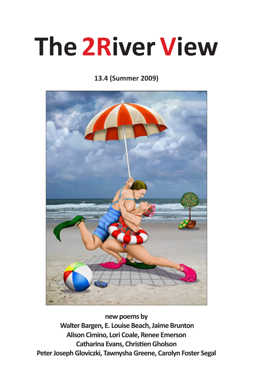# **The 2River View**

# **13.4 (Summer 2009)**



**new poems by Walter Bargen, E. Louise Beach, Jaime Brunton Alison Cimino, Lori Coale, Renee Emerson Catharina Evans, Christien Gholson Peter Joseph Gloviczki, Tawnysha Greene, Carolyn Foster Segal**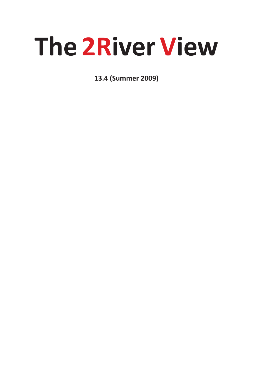# **The 2River View**

**13.4 (Summer 2009)**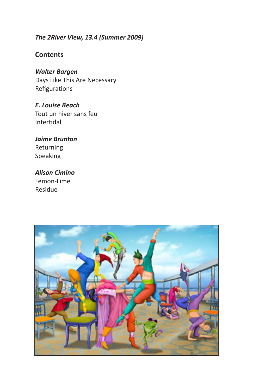*The 2River View, 13.4 (Summer 2009)*

# **Contents**

*Walter Bargen* Days Like This Are Necessary Refigurations

*E. Louise Beach* Tout un hiver sans feu Intertidal

*Jaime Brunton* Returning Speaking

*Alison Cimino* Lemon-Lime Residue

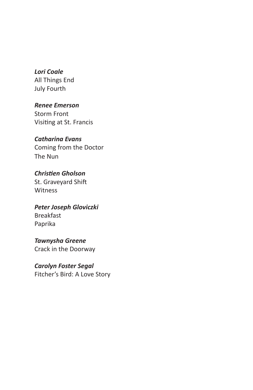*Lori Coale* All Things End July Fourth

*Renee Emerson* Storm Front Visiting at St. Francis

# *Catharina Evans*

Coming from the Doctor The Nun

*Christien Gholson* St. Graveyard Shift **Witness** 

*Peter Joseph Gloviczki* Breakfast

*Tawnysha Greene* Crack in the Doorway

Paprika

*Carolyn Foster Segal*

Fitcher's Bird: A Love Story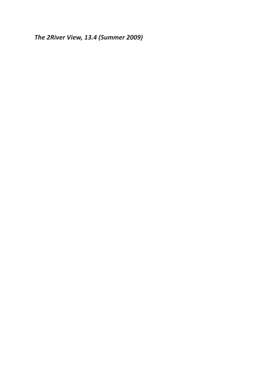*The 2River View, 13.4 (Summer 2009)*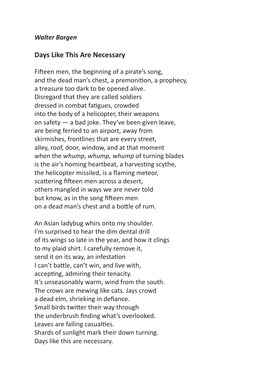#### *Walter Bargen*

#### **Days Like This Are Necessary**

Fifteen men, the beginning of a pirate's song, and the dead man's chest, a premonition, a prophecy, a treasure too dark to be opened alive. Disregard that they are called soldiers dressed in combat fatigues, crowded into the body of a helicopter, their weapons on safety — a bad joke. They've been given leave, are being ferried to an airport, away from skirmishes, frontlines that are every street, alley, roof, door, window, and at that moment when the *whump, whump, whump* of turning blades is the air's homing heartbeat, a harvesting scythe, the helicopter missiled, is a flaming meteor, scattering fifteen men across a desert, others mangled in ways we are never told but know, as in the song fifteen men on a dead man's chest and a bottle of rum.

An Asian ladybug whirs onto my shoulder. I'm surprised to hear the dim dental drill of its wings so late in the year, and how it clings to my plaid shirt. I carefully remove it, send it on its way, an infestation I can't battle, can't win, and live with, accepting, admiring their tenacity. It's unseasonably warm, wind from the south. The crows are mewing like cats. Jays crowd a dead elm, shrieking in defiance. Small birds twitter their way through the underbrush finding what's overlooked. Leaves are falling casualties. Shards of sunlight mark their down turning. Days like this are necessary.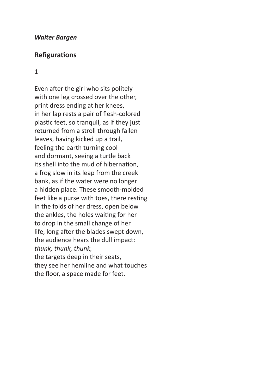#### *Walter Bargen*

## **Refigurations**

#### 1

Even after the girl who sits politely with one leg crossed over the other, print dress ending at her knees, in her lap rests a pair of flesh-colored plastic feet, so tranquil, as if they just returned from a stroll through fallen leaves, having kicked up a trail, feeling the earth turning cool and dormant, seeing a turtle back its shell into the mud of hibernation, a frog slow in its leap from the creek bank, as if the water were no longer a hidden place. These smooth-molded feet like a purse with toes, there resting in the folds of her dress, open below the ankles, the holes waiting for her to drop in the small change of her life, long after the blades swept down, the audience hears the dull impact: *thunk, thunk, thunk,* the targets deep in their seats, they see her hemline and what touches the floor, a space made for feet.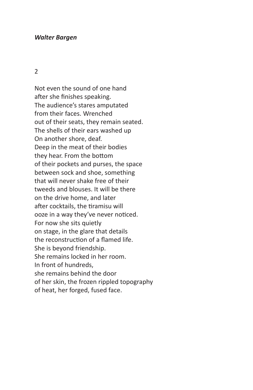#### *Walter Bargen*

#### $\mathfrak{D}$

Not even the sound of one hand after she finishes speaking. The audience's stares amputated from their faces. Wrenched out of their seats, they remain seated. The shells of their ears washed up On another shore, deaf. Deep in the meat of their bodies they hear. From the bottom of their pockets and purses, the space between sock and shoe, something that will never shake free of their tweeds and blouses. It will be there on the drive home, and later after cocktails, the tiramisu will ooze in a way they've never noticed. For now she sits quietly on stage, in the glare that details the reconstruction of a flamed life. She is beyond friendship. She remains locked in her room. In front of hundreds, she remains behind the door of her skin, the frozen rippled topography of heat, her forged, fused face.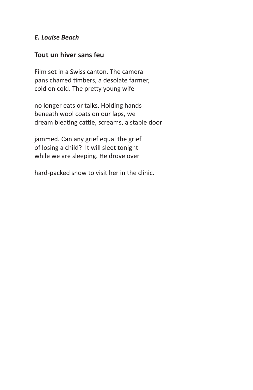#### *E. Louise Beach*

# **Tout un hiver sans feu**

Film set in a Swiss canton. The camera pans charred timbers, a desolate farmer, cold on cold. The pretty young wife

no longer eats or talks. Holding hands beneath wool coats on our laps, we dream bleating cattle, screams, a stable door

jammed. Can any grief equal the grief of losing a child? It will sleet tonight while we are sleeping. He drove over

hard-packed snow to visit her in the clinic.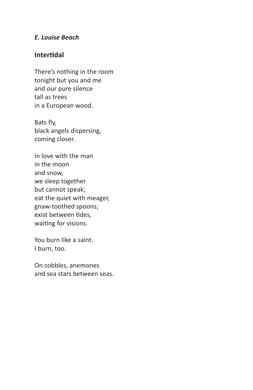#### *E. Louise Beach*

# **Intertidal**

There's nothing in the room tonight but you and me and our pure silence tall as trees in a European wood.

Bats fly, black angels dispersing, coming closer.

In love with the man in the moon and snow, we sleep together but cannot speak; eat the quiet with meager, gnaw-toothed spoons; exist between tides, waiting for visions.

You burn like a saint. I burn, too.

On cobbles, anemones and sea stars between seas.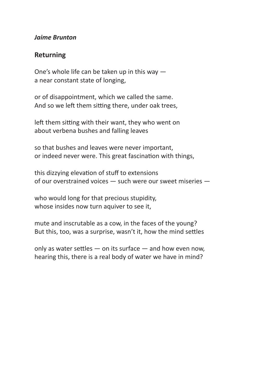#### *Jaime Brunton*

# **Returning**

One's whole life can be taken up in this way a near constant state of longing,

or of disappointment, which we called the same. And so we left them sitting there, under oak trees,

left them sitting with their want, they who went on about verbena bushes and falling leaves

so that bushes and leaves were never important, or indeed never were. This great fascination with things,

this dizzying elevation of stuff to extensions of our overstrained voices — such were our sweet miseries —

who would long for that precious stupidity, whose insides now turn aquiver to see it,

mute and inscrutable as a cow, in the faces of the young? But this, too, was a surprise, wasn't it, how the mind settles

only as water settles — on its surface — and how even now, hearing this, there is a real body of water we have in mind?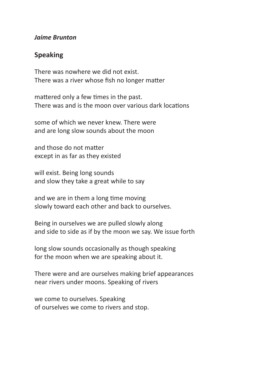#### *Jaime Brunton*

#### **Speaking**

There was nowhere we did not exist. There was a river whose fish no longer matter

mattered only a few times in the past. There was and is the moon over various dark locations

some of which we never knew. There were and are long slow sounds about the moon

and those do not matter except in as far as they existed

will exist. Being long sounds and slow they take a great while to say

and we are in them a long time moving slowly toward each other and back to ourselves.

Being in ourselves we are pulled slowly along and side to side as if by the moon we say. We issue forth

long slow sounds occasionally as though speaking for the moon when we are speaking about it.

There were and are ourselves making brief appearances near rivers under moons. Speaking of rivers

we come to ourselves. Speaking of ourselves we come to rivers and stop.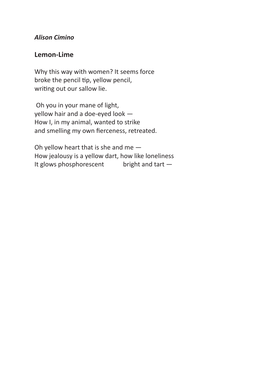#### *Alison Cimino*

#### **Lemon-Lime**

Why this way with women? It seems force broke the pencil tip, yellow pencil, writing out our sallow lie.

 Oh you in your mane of light, yellow hair and a doe-eyed look — How I, in my animal, wanted to strike and smelling my own fierceness, retreated.

Oh yellow heart that is she and me  $-$ How jealousy is a yellow dart, how like loneliness It glows phosphorescent bright and tart  $-$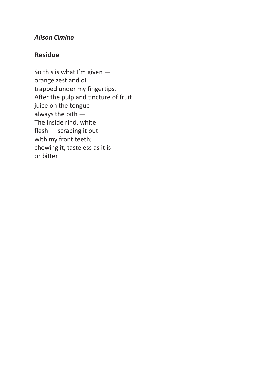#### *Alison Cimino*

# **Residue**

So this is what I'm given orange zest and oil trapped under my fingertips. After the pulp and tincture of fruit juice on the tongue always the pith — The inside rind, white flesh — scraping it out with my front teeth; chewing it, tasteless as it is or bitter.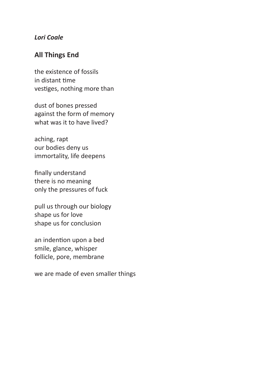#### *Lori Coale*

## **All Things End**

the existence of fossils in distant time vestiges, nothing more than

dust of bones pressed against the form of memory what was it to have lived?

aching, rapt our bodies deny us immortality, life deepens

finally understand there is no meaning only the pressures of fuck

pull us through our biology shape us for love shape us for conclusion

an indention upon a bed smile, glance, whisper follicle, pore, membrane

we are made of even smaller things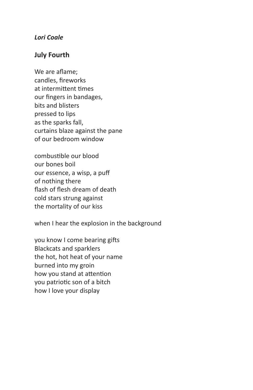#### *Lori Coale*

#### **July Fourth**

We are aflame; candles, fireworks at intermittent times our fingers in bandages, bits and blisters pressed to lips as the sparks fall, curtains blaze against the pane of our bedroom window

combustible our blood our bones boil our essence, a wisp, a puff of nothing there flash of flesh dream of death cold stars strung against the mortality of our kiss

when I hear the explosion in the background

you know I come bearing gifts Blackcats and sparklers the hot, hot heat of your name burned into my groin how you stand at attention you patriotic son of a bitch how I love your display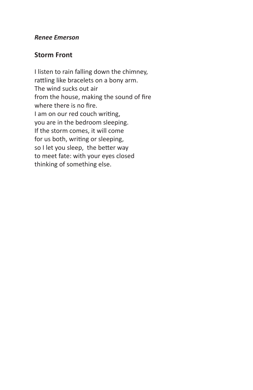#### *Renee Emerson*

# **Storm Front**

I listen to rain falling down the chimney, rattling like bracelets on a bony arm. The wind sucks out air from the house, making the sound of fire where there is no fire. I am on our red couch writing, you are in the bedroom sleeping. If the storm comes, it will come for us both, writing or sleeping, so I let you sleep, the better way to meet fate: with your eyes closed thinking of something else.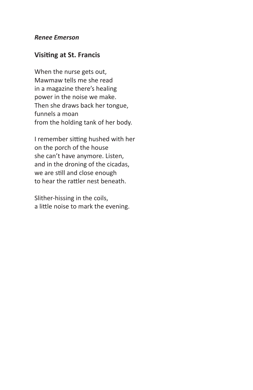#### *Renee Emerson*

#### **Visiting at St. Francis**

When the nurse gets out, Mawmaw tells me she read in a magazine there's healing power in the noise we make. Then she draws back her tongue, funnels a moan from the holding tank of her body.

I remember sitting hushed with her on the porch of the house she can't have anymore. Listen, and in the droning of the cicadas, we are still and close enough to hear the rattler nest beneath.

Slither-hissing in the coils, a little noise to mark the evening.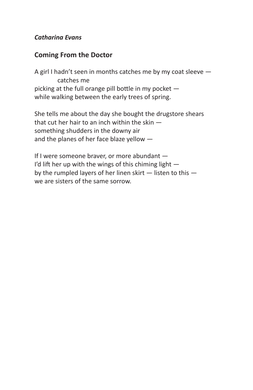## *Catharina Evans*

# **Coming From the Doctor**

A girl I hadn't seen in months catches me by my coat sleeve catches me picking at the full orange pill bottle in my pocket while walking between the early trees of spring.

She tells me about the day she bought the drugstore shears that cut her hair to an inch within the skin something shudders in the downy air and the planes of her face blaze yellow —

If I were someone braver, or more abundant — I'd lift her up with the wings of this chiming light by the rumpled layers of her linen skirt — listen to this we are sisters of the same sorrow.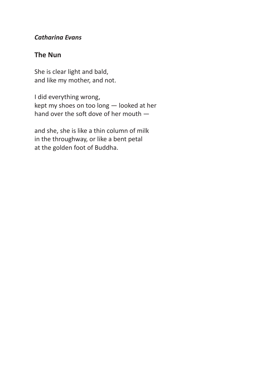#### *Catharina Evans*

# **The Nun**

She is clear light and bald, and like my mother, and not.

I did everything wrong, kept my shoes on too long — looked at her hand over the soft dove of her mouth —

and she, she is like a thin column of milk in the throughway, or like a bent petal at the golden foot of Buddha.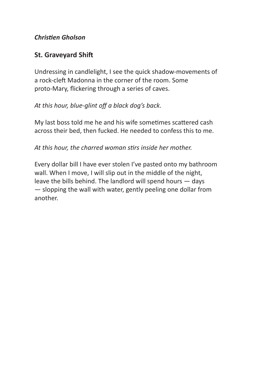# *Christien Gholson*

# **St. Graveyard Shift**

Undressing in candlelight, I see the quick shadow-movements of a rock-cleft Madonna in the corner of the room. Some proto-Mary, flickering through a series of caves.

# *At this hour, blue-glint off a black dog's back.*

My last boss told me he and his wife sometimes scattered cash across their bed, then fucked. He needed to confess this to me.

*At this hour, the charred woman stirs inside her mother.*

Every dollar bill I have ever stolen I've pasted onto my bathroom wall. When I move, I will slip out in the middle of the night, leave the bills behind. The landlord will spend hours — days — slopping the wall with water, gently peeling one dollar from another.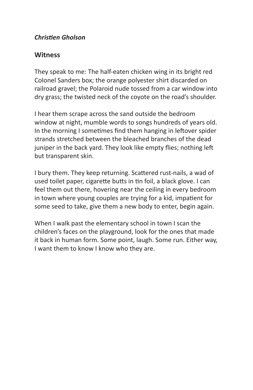## *Christien Gholson*

# **Witness**

They speak to me: The half-eaten chicken wing in its bright red Colonel Sanders box; the orange polyester shirt discarded on railroad gravel; the Polaroid nude tossed from a car window into dry grass; the twisted neck of the coyote on the road's shoulder.

I hear them scrape across the sand outside the bedroom window at night, mumble words to songs hundreds of years old. In the morning I sometimes find them hanging in leftover spider strands stretched between the bleached branches of the dead juniper in the back yard. They look like empty flies; nothing left but transparent skin.

I bury them. They keep returning. Scattered rust-nails, a wad of used toilet paper, cigarette butts in tin foil, a black glove. I can feel them out there, hovering near the ceiling in every bedroom in town where young couples are trying for a kid, impatient for some seed to take, give them a new body to enter, begin again.

When I walk past the elementary school in town I scan the children's faces on the playground, look for the ones that made it back in human form. Some point, laugh. Some run. Either way, I want them to know I know who they are.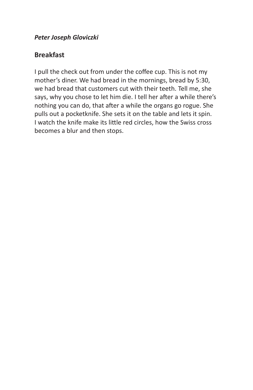## *Peter Joseph Gloviczki*

# **Breakfast**

I pull the check out from under the coffee cup. This is not my mother's diner. We had bread in the mornings, bread by 5:30, we had bread that customers cut with their teeth. Tell me, she says, why you chose to let him die. I tell her after a while there's nothing you can do, that after a while the organs go rogue. She pulls out a pocketknife. She sets it on the table and lets it spin. I watch the knife make its little red circles, how the Swiss cross becomes a blur and then stops.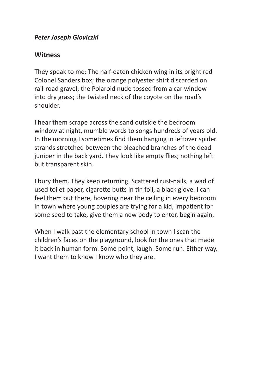## *Peter Joseph Gloviczki*

## **Witness**

They speak to me: The half-eaten chicken wing in its bright red Colonel Sanders box; the orange polyester shirt discarded on rail-road gravel; the Polaroid nude tossed from a car window into dry grass; the twisted neck of the coyote on the road's shoulder.

I hear them scrape across the sand outside the bedroom window at night, mumble words to songs hundreds of years old. In the morning I sometimes find them hanging in leftover spider strands stretched between the bleached branches of the dead juniper in the back yard. They look like empty flies; nothing left but transparent skin.

I bury them. They keep returning. Scattered rust-nails, a wad of used toilet paper, cigarette butts in tin foil, a black glove. I can feel them out there, hovering near the ceiling in every bedroom in town where young couples are trying for a kid, impatient for some seed to take, give them a new body to enter, begin again.

When I walk past the elementary school in town I scan the children's faces on the playground, look for the ones that made it back in human form. Some point, laugh. Some run. Either way, I want them to know I know who they are.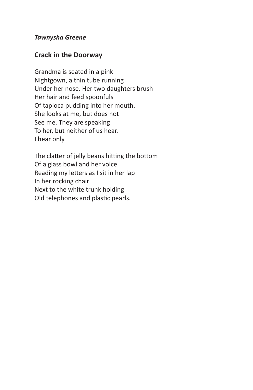#### *Tawnysha Greene*

# **Crack in the Doorway**

Grandma is seated in a pink Nightgown, a thin tube running Under her nose. Her two daughters brush Her hair and feed spoonfuls Of tapioca pudding into her mouth. She looks at me, but does not See me. They are speaking To her, but neither of us hear. I hear only

The clatter of jelly beans hitting the bottom Of a glass bowl and her voice Reading my letters as I sit in her lap In her rocking chair Next to the white trunk holding Old telephones and plastic pearls.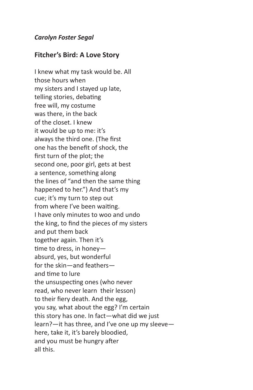#### *Carolyn Foster Segal*

# **Fitcher's Bird: A Love Story**

I knew what my task would be. All those hours when my sisters and I stayed up late, telling stories, debating free will, my costume was there, in the back of the closet. I knew it would be up to me: it's always the third one. (The first one has the benefit of shock, the first turn of the plot; the second one, poor girl, gets at best a sentence, something along the lines of "and then the same thing happened to her.") And that's my cue; it's my turn to step out from where I've been waiting. I have only minutes to woo and undo the king, to find the pieces of my sisters and put them back together again. Then it's time to dress, in honey absurd, yes, but wonderful for the skin—and feathers and time to lure the unsuspecting ones (who never read, who never learn their lesson) to their fiery death. And the egg, you say, what about the egg? I'm certain this story has one. In fact—what did we just learn?—it has three, and I've one up my sleeve here, take it, it's barely bloodied, and you must be hungry after all this.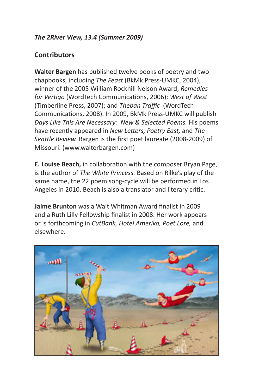# *The 2River View, 13.4 (Summer 2009)*

# **Contributors**

**Walter Bargen** has published twelve books of poetry and two chapbooks, including *The Feast* (BkMk Press-UMKC, 2004), winner of the 2005 William Rockhill Nelson Award; *Remedies for Vertigo* (WordTech Communications, 2006); *West of West* (Timberline Press, 2007); and *Theban Traffic* (WordTech Communications, 2008). In 2009, BkMk Press-UMKC will publish *Days Like This Are Necessary: New & Selected Poems.* His poems have recently appeared in *New Letters, Poetry East,* and *The Seattle Review.* Bargen is the first poet laureate (2008-2009) of Missouri. (www.walterbargen.com)

**E. Louise Beach,** in collaboration with the composer Bryan Page, is the author of *The White Princess.* Based on Rilke's play of the same name, the 22 poem song-cycle will be performed in Los Angeles in 2010. Beach is also a translator and literary critic.

**Jaime Brunton** was a Walt Whitman Award finalist in 2009 and a Ruth Lilly Fellowship finalist in 2008. Her work appears or is forthcoming in *CutBank, Hotel Amerika, Poet Lore,* and elsewhere.

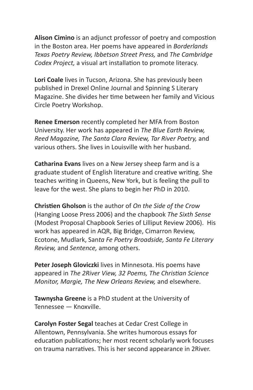**Alison Cimino** is an adjunct professor of poetry and compostion in the Boston area. Her poems have appeared in *Borderlands Texas Poetry Review, Ibbetson Street Press,* and *The Cambridge Codex Project,* a visual art installation to promote literacy.

**Lori Coale** lives in Tucson, Arizona. She has previously been published in Drexel Online Journal and Spinning S Literary Magazine. She divides her time between her family and Vicious Circle Poetry Workshop.

**Renee Emerson** recently completed her MFA from Boston University. Her work has appeared in *The Blue Earth Review, Reed Magazine, The Santa Clara Review, Tar River Poetry,* and various others. She lives in Louisville with her husband.

**Catharina Evans** lives on a New Jersey sheep farm and is a graduate student of English literature and creative writing. She teaches writing in Queens, New York, but is feeling the pull to leave for the west. She plans to begin her PhD in 2010.

**Christien Gholson** is the author of *On the Side of the Crow* (Hanging Loose Press 2006) and the chapbook *The Sixth Sense* (Modest Proposal Chapbook Series of Lilliput Review 2006). His work has appeared in AQR, Big Bridge, Cimarron Review, Ecotone, Mudlark, San*ta Fe Poetry Broadside, Santa Fe Literary Review,* and *Sentence,* among others.

**Peter Joseph Gloviczki** lives in Minnesota. His poems have appeared in *The 2River View, 32 Poems, The Christian Science Monitor, Margie, The New Orleans Review,* and elsewhere.

**Tawnysha Greene** is a PhD student at the University of Tennessee — Knoxville.

**Carolyn Foster Segal** teaches at Cedar Crest College in Allentown, Pennsylvania. She writes humorous essays for education publications; her most recent scholarly work focuses on trauma narratives. This is her second appearance in 2River.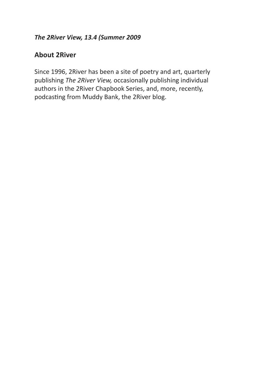# *The 2River View, 13.4 (Summer 2009*

# **About 2River**

Since 1996, 2River has been a site of poetry and art, quarterly publishing *The 2River View,* occasionally publishing individual authors in the 2River Chapbook Series, and, more, recently, podcasting from Muddy Bank, the 2River blog.